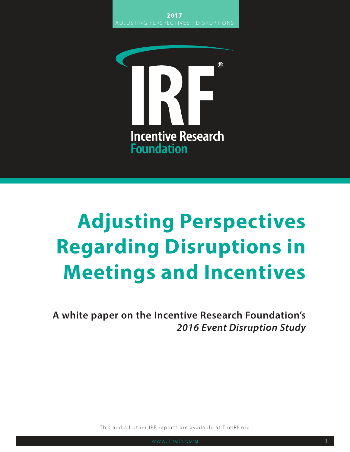

## **Adjusting Perspectives Regarding Disruptions in Meetings and Incentives**

**A white paper on the Incentive Research Foundation's** *2016 Event Disruption Study*

This and all other IRF reports are available at TheIRF.org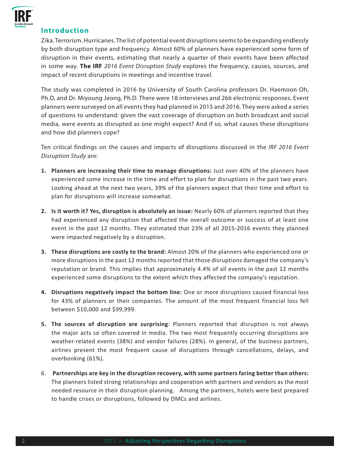

## **Introduction**

Zika. Terrorism. Hurricanes. The list of potential event disruptions seems to be expanding endlessly by both disruption type and frequency. Almost 60% of planners have experienced some form of disruption in their events, estimating that nearly a quarter of their events have been affected in some way. **The IRF** *2016 Event Disruption Study* explores the frequency, causes, sources, and impact of recent disruptions in meetings and incentive travel.

The study was completed in 2016 by University of South Carolina professors Dr. Haemoon Oh, Ph.D, and Dr. Miyoung Jeong, Ph.D. There were 18 interviews and 266 electronic responses. Event planners were surveyed on all events they had planned in 2015 and 2016. They were asked a series of questions to understand: given the vast coverage of disruption on both broadcast and social media, were events as disrupted as one might expect? And if so, what causes these disruptions and how did planners cope?

Ten critical findings on the causes and impacts of disruptions discussed in the *IRF 2016 Event Disruption Study* are:

- **1. Planners are increasing their time to manage disruptions:** Just over 40% of the planners have experienced some increase in the time and effort to plan for disruptions in the past two years. Looking ahead at the next two years, 39% of the planners expect that their time and effort to plan for disruptions will increase somewhat.
- **2. Is it worth it? Yes, disruption is absolutely an issue:** Nearly 60% of planners reported that they had experienced any disruption that affected the overall outcome or success of at least one event in the past 12 months. They estimated that 23% of all 2015-2016 events they planned were impacted negatively by a disruption.
- **3. These disruptions are costly to the brand:** Almost 20% of the planners who experienced one or more disruptions in the past 12 months reported that those disruptions damaged the company's reputation or brand. This implies that approximately 4.4% of all events in the past 12 months experienced some disruptions to the extent which they affected the company's reputation.
- **4. Disruptions negatively impact the bottom line:** One or more disruptions caused financial loss for 43% of planners or their companies. The amount of the most frequent financial loss fell between \$10,000 and \$99,999.
- **5. The sources of disruption are surprising**: Planners reported that disruption is not always the major acts so often covered in media. The two most frequently occurring disruptions are weather-related events (38%) and vendor failures (28%). In general, of the business partners, airlines present the most frequent cause of disruptions through cancellations, delays, and overbooking (61%).
- 6. **Partnerships are key in the disruption recovery, with some partners faring better than others:**  The planners listed strong relationships and cooperation with partners and vendors as the most needed resource in their disruption planning. Among the partners, hotels were best prepared to handle crises or disruptions, followed by DMCs and airlines.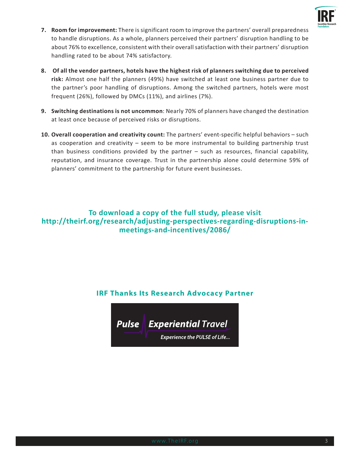

- **7. Room for improvement:** There is significant room to improve the partners' overall preparedness to handle disruptions. As a whole, planners perceived their partners' disruption handling to be about 76% to excellence, consistent with their overall satisfaction with their partners' disruption handling rated to be about 74% satisfactory.
- **8. Of all the vendor partners, hotels have the highest risk of planners switching due to perceived risk:** Almost one half the planners (49%) have switched at least one business partner due to the partner's poor handling of disruptions. Among the switched partners, hotels were most frequent (26%), followed by DMCs (11%), and airlines (7%).
- **9. Switching destinations is not uncommon**: Nearly 70% of planners have changed the destination at least once because of perceived risks or disruptions.
- **10. Overall cooperation and creativity count:** The partners' event-specific helpful behaviors such as cooperation and creativity – seem to be more instrumental to building partnership trust than business conditions provided by the partner – such as resources, financial capability, reputation, and insurance coverage. Trust in the partnership alone could determine 59% of planners' commitment to the partnership for future event businesses.

## **To download a copy of the full study, please visit http://theirf.org/research/adjusting-perspectives-regarding-disruptions-inmeetings-and-incentives/2086/**

## **IRF Thanks Its Research Advocacy Partner**